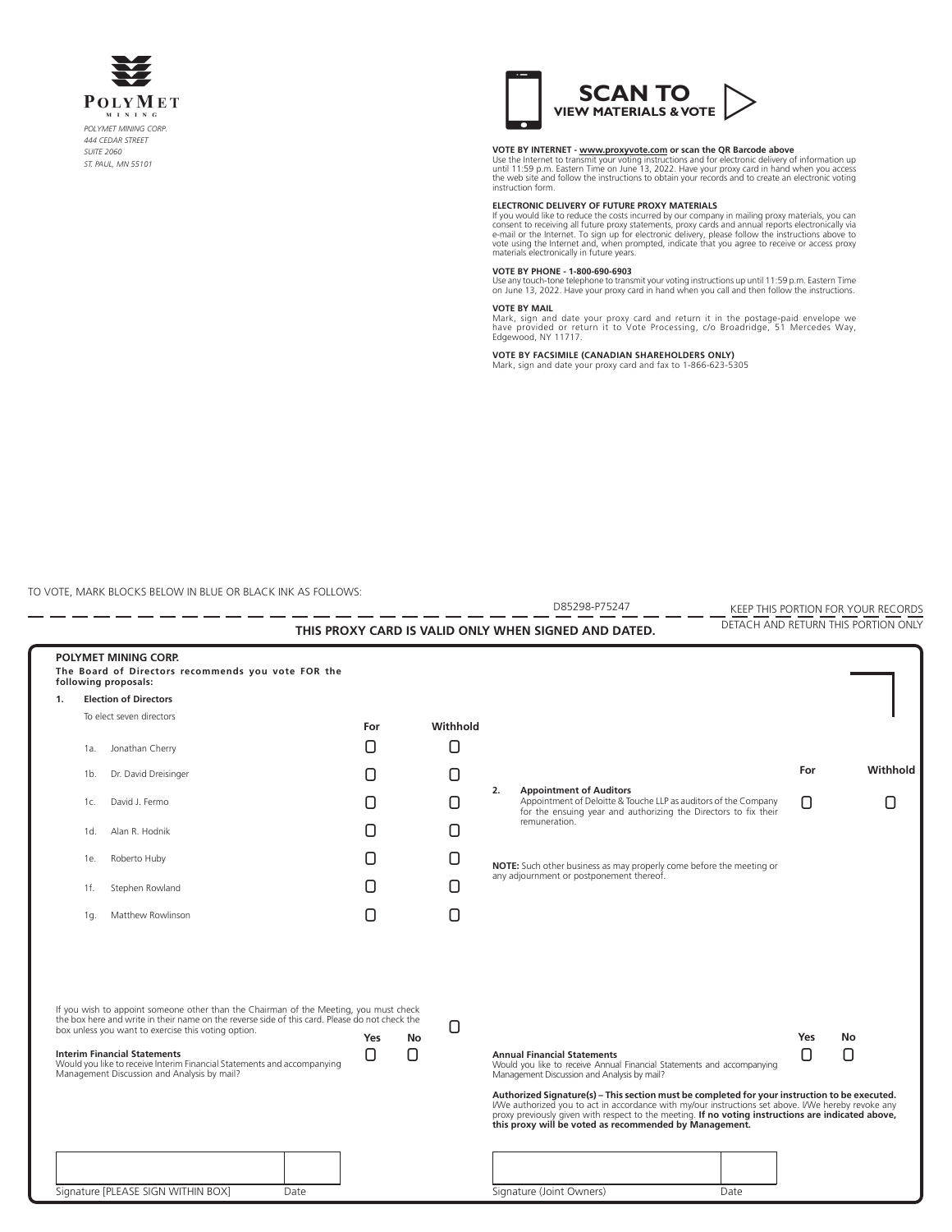



**VOTE BY INTERNET - www.proxyvote.com or scan the QR Barcode above**<br>Use the Internet to transmit your voting instructions and for electronic delivery of information up<br>until 11:59 p.m. Eastern Time on June 13, 2022. Have y instruction form.

# **ELECTRONIC DELIVERY OF FUTURE PROXY MATERIALS**

If you would like to reduce the costs incurred by our company in mailing proxy materials, you can<br>consent to receiving all future proxy statements, proxy cards and annual reports electronically via<br>e-mail or the Internet.

### **VOTE BY PHONE - 1-800-690-6903**

Use any touch-tone telephone to transmit your voting instructions up until 11:59 p.m. Eastern Time on June 13, 2022. Have your proxy card in hand when you call and then follow the instructions.

**VOTE BY MAIL**<br>Mark, sign and date your proxy card and return it in the postage-paid envelope we<br>have provided or return it to Vote Processing, c/o Broadridge, 51 Mercedes Way,<br>Edgewood, NY 11717.

**VOTE BY FACSIMILE (CANADIAN SHAREHOLDERS ONLY)** Mark, sign and date your proxy card and fax to 1-866-623-5305

TO VOTE, MARK BLOCKS BELOW IN BLUE OR BLACK INK AS FOLLOWS:

|    |                                                                                                                                                                                                                                                                                                                                                                                                                 |           |          | D85298-P75247                                                                                                                                                                                                                                                                                                                                                                                                                                                                                                                       |      |     | KEEP THIS PORTION FOR YOUR RECORDS  |
|----|-----------------------------------------------------------------------------------------------------------------------------------------------------------------------------------------------------------------------------------------------------------------------------------------------------------------------------------------------------------------------------------------------------------------|-----------|----------|-------------------------------------------------------------------------------------------------------------------------------------------------------------------------------------------------------------------------------------------------------------------------------------------------------------------------------------------------------------------------------------------------------------------------------------------------------------------------------------------------------------------------------------|------|-----|-------------------------------------|
|    |                                                                                                                                                                                                                                                                                                                                                                                                                 |           |          | THIS PROXY CARD IS VALID ONLY WHEN SIGNED AND DATED.                                                                                                                                                                                                                                                                                                                                                                                                                                                                                |      |     | DETACH AND RETURN THIS PORTION ONLY |
|    | POLYMET MINING CORP.<br>The Board of Directors recommends you vote FOR the<br>following proposals:                                                                                                                                                                                                                                                                                                              |           |          |                                                                                                                                                                                                                                                                                                                                                                                                                                                                                                                                     |      |     |                                     |
| 1. | <b>Election of Directors</b>                                                                                                                                                                                                                                                                                                                                                                                    |           |          |                                                                                                                                                                                                                                                                                                                                                                                                                                                                                                                                     |      |     |                                     |
|    | To elect seven directors                                                                                                                                                                                                                                                                                                                                                                                        | For       | Withhold |                                                                                                                                                                                                                                                                                                                                                                                                                                                                                                                                     |      |     |                                     |
|    | Jonathan Cherry<br>1a.                                                                                                                                                                                                                                                                                                                                                                                          |           |          |                                                                                                                                                                                                                                                                                                                                                                                                                                                                                                                                     |      |     |                                     |
|    | Dr. David Dreisinger<br>1b.                                                                                                                                                                                                                                                                                                                                                                                     |           |          |                                                                                                                                                                                                                                                                                                                                                                                                                                                                                                                                     |      | For | Withhold                            |
|    | David J. Fermo<br>1c.                                                                                                                                                                                                                                                                                                                                                                                           |           |          | 2.<br><b>Appointment of Auditors</b><br>Appointment of Deloitte & Touche LLP as auditors of the Company<br>for the ensuing year and authorizing the Directors to fix their<br>remuneration.                                                                                                                                                                                                                                                                                                                                         |      |     |                                     |
|    | Alan R. Hodnik<br>1d.                                                                                                                                                                                                                                                                                                                                                                                           |           |          |                                                                                                                                                                                                                                                                                                                                                                                                                                                                                                                                     |      |     |                                     |
|    | Roberto Huby<br>1e.                                                                                                                                                                                                                                                                                                                                                                                             |           |          | NOTE: Such other business as may properly come before the meeting or<br>any adjournment or postponement thereof.                                                                                                                                                                                                                                                                                                                                                                                                                    |      |     |                                     |
|    | Stephen Rowland<br>1f.                                                                                                                                                                                                                                                                                                                                                                                          |           |          |                                                                                                                                                                                                                                                                                                                                                                                                                                                                                                                                     |      |     |                                     |
|    | Matthew Rowlinson<br>1q.                                                                                                                                                                                                                                                                                                                                                                                        |           |          |                                                                                                                                                                                                                                                                                                                                                                                                                                                                                                                                     |      |     |                                     |
|    | If you wish to appoint someone other than the Chairman of the Meeting, you must check<br>the box here and write in their name on the reverse side of this card. Please do not check the<br>box unless you want to exercise this voting option.<br><b>Interim Financial Statements</b><br>Would you like to receive Interim Financial Statements and accompanying<br>Management Discussion and Analysis by mail? | Yes<br>No |          | <b>Annual Financial Statements</b><br>Would you like to receive Annual Financial Statements and accompanying<br>Management Discussion and Analysis by mail?<br>Authorized Signature(s) - This section must be completed for your instruction to be executed.<br>I/We authorized you to act in accordance with my/our instructions set above. I/We hereby revoke any<br>proxy previously given with respect to the meeting. If no voting instructions are indicated above,<br>this proxy will be voted as recommended by Management. |      | Yes | No                                  |
|    |                                                                                                                                                                                                                                                                                                                                                                                                                 |           |          |                                                                                                                                                                                                                                                                                                                                                                                                                                                                                                                                     |      |     |                                     |
|    | Signature [PLEASE SIGN WITHIN BOX]<br>Date                                                                                                                                                                                                                                                                                                                                                                      |           |          | Signature (Joint Owners)                                                                                                                                                                                                                                                                                                                                                                                                                                                                                                            | Date |     |                                     |